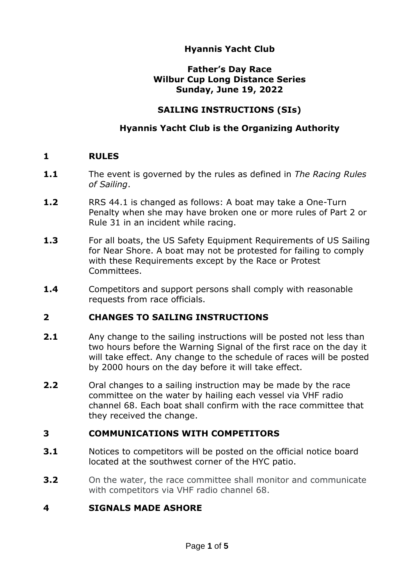## **Hyannis Yacht Club**

### **Father's Day Race Wilbur Cup Long Distance Series Sunday, June 19, 2022**

### **SAILING INSTRUCTIONS (SIs)**

### **Hyannis Yacht Club is the Organizing Authority**

#### **1 RULES**

- **1.1** The event is governed by the rules as defined in *The Racing Rules of Sailing*.
- **1.2** RRS 44.1 is changed as follows: A boat may take a One-Turn Penalty when she may have broken one or more rules of Part 2 or Rule 31 in an incident while racing.
- **1.3** For all boats, the US Safety Equipment Requirements of US Sailing for Near Shore. A boat may not be protested for failing to comply with these Requirements except by the Race or Protest Committees.
- **1.4** Competitors and support persons shall comply with reasonable requests from race officials.

### **2 CHANGES TO SAILING INSTRUCTIONS**

- **2.1** Any change to the sailing instructions will be posted not less than two hours before the Warning Signal of the first race on the day it will take effect. Any change to the schedule of races will be posted by 2000 hours on the day before it will take effect.
- **2.2** Oral changes to a sailing instruction may be made by the race committee on the water by hailing each vessel via VHF radio channel 68. Each boat shall confirm with the race committee that they received the change.

### **3 COMMUNICATIONS WITH COMPETITORS**

- **3.1** Notices to competitors will be posted on the official notice board located at the southwest corner of the HYC patio.
- **3.2** On the water, the race committee shall monitor and communicate with competitors via VHF radio channel 68.

### **4 SIGNALS MADE ASHORE**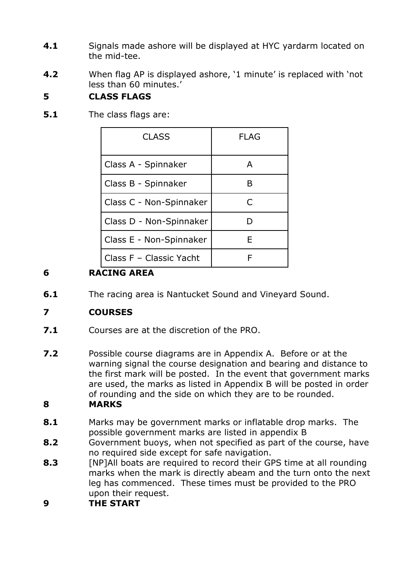- **4.1** Signals made ashore will be displayed at HYC yardarm located on the mid-tee.
- **4.2** When flag AP is displayed ashore, '1 minute' is replaced with 'not less than 60 minutes.'

# **5 CLASS FLAGS**

**5.1** The class flags are:

| <b>CLASS</b>            | FLAG |
|-------------------------|------|
| Class A - Spinnaker     | A    |
| Class B - Spinnaker     | в    |
| Class C - Non-Spinnaker | C    |
| Class D - Non-Spinnaker |      |
| Class E - Non-Spinnaker | E    |
| Class F - Classic Yacht |      |

# **6 RACING AREA**

**6.1** The racing area is Nantucket Sound and Vineyard Sound.

# **7 COURSES**

- **7.1** Courses are at the discretion of the PRO.
- **7.2** Possible course diagrams are in Appendix A. Before or at the warning signal the course designation and bearing and distance to the first mark will be posted. In the event that government marks are used, the marks as listed in Appendix B will be posted in order of rounding and the side on which they are to be rounded.

## **8 MARKS**

- **8.1** Marks may be government marks or inflatable drop marks. The possible government marks are listed in appendix B
- **8.2** Government buoys, when not specified as part of the course, have no required side except for safe navigation.
- **8.3** [NP]All boats are required to record their GPS time at all rounding marks when the mark is directly abeam and the turn onto the next leg has commenced. These times must be provided to the PRO upon their request.
- **9 THE START**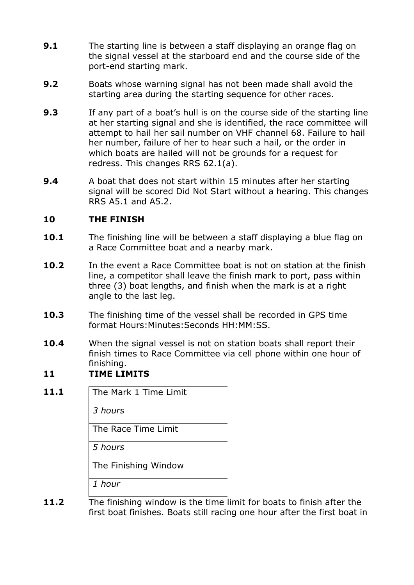- **9.1** The starting line is between a staff displaying an orange flag on the signal vessel at the starboard end and the course side of the port-end starting mark.
- **9.2** Boats whose warning signal has not been made shall avoid the starting area during the starting sequence for other races.
- **9.3** If any part of a boat's hull is on the course side of the starting line at her starting signal and she is identified, the race committee will attempt to hail her sail number on VHF channel 68. Failure to hail her number, failure of her to hear such a hail, or the order in which boats are hailed will not be grounds for a request for redress. This changes RRS 62.1(a).
- **9.4** A boat that does not start within 15 minutes after her starting signal will be scored Did Not Start without a hearing. This changes RRS A5.1 and A5.2.

### **10 THE FINISH**

- 10.1 The finishing line will be between a staff displaying a blue flag on a Race Committee boat and a nearby mark.
- **10.2** In the event a Race Committee boat is not on station at the finish line, a competitor shall leave the finish mark to port, pass within three (3) boat lengths, and finish when the mark is at a right angle to the last leg.
- **10.3** The finishing time of the vessel shall be recorded in GPS time format Hours:Minutes:Seconds HH:MM:SS.
- **10.4** When the signal vessel is not on station boats shall report their finish times to Race Committee via cell phone within one hour of finishing.

## **11 TIME LIMITS**

11.1 **The Mark 1 Time Limit** 

*3 hours*

The Race Time Limit

*5 hours*

The Finishing Window

*1 hour*

**11.2** The finishing window is the time limit for boats to finish after the first boat finishes. Boats still racing one hour after the first boat in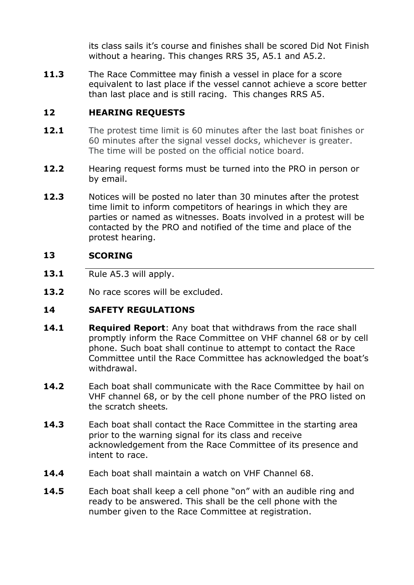its class sails it's course and finishes shall be scored Did Not Finish without a hearing. This changes RRS 35, A5.1 and A5.2.

**11.3** The Race Committee may finish a vessel in place for a score equivalent to last place if the vessel cannot achieve a score better than last place and is still racing. This changes RRS A5.

## **12 HEARING REQUESTS**

- **12.1** The protest time limit is 60 minutes after the last boat finishes or 60 minutes after the signal vessel docks, whichever is greater. The time will be posted on the official notice board.
- **12.2** Hearing request forms must be turned into the PRO in person or by email.
- **12.3** Notices will be posted no later than 30 minutes after the protest time limit to inform competitors of hearings in which they are parties or named as witnesses. Boats involved in a protest will be contacted by the PRO and notified of the time and place of the protest hearing.

### **13 SCORING**

- 13.1 Rule A5.3 will apply.
- 13.2 No race scores will be excluded.

## **14 SAFETY REGULATIONS**

- **14.1 Required Report**: Any boat that withdraws from the race shall promptly inform the Race Committee on VHF channel 68 or by cell phone. Such boat shall continue to attempt to contact the Race Committee until the Race Committee has acknowledged the boat's withdrawal.
- **14.2** Each boat shall communicate with the Race Committee by hail on VHF channel 68, or by the cell phone number of the PRO listed on the scratch sheets*.*
- **14.3** Each boat shall contact the Race Committee in the starting area prior to the warning signal for its class and receive acknowledgement from the Race Committee of its presence and intent to race.
- **14.4** Each boat shall maintain a watch on VHF Channel 68.
- **14.5** Each boat shall keep a cell phone "on" with an audible ring and ready to be answered. This shall be the cell phone with the number given to the Race Committee at registration.